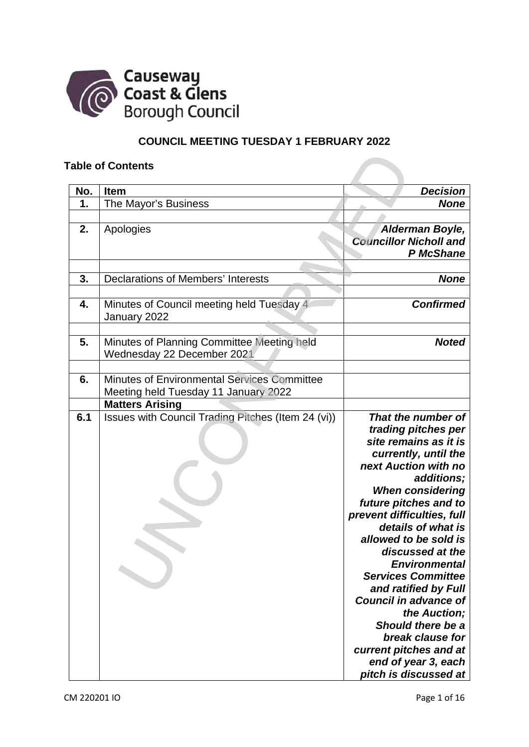

# **COUNCIL MEETING TUESDAY 1 FEBRUARY 2022**

## **Table of Contents**

|     | <b>Fable of Contents</b>                                  |                                       |
|-----|-----------------------------------------------------------|---------------------------------------|
| No. | Item                                                      | <b>Decision</b>                       |
| 1.  | The Mayor's Business                                      | <b>None</b>                           |
|     |                                                           |                                       |
| 2.  | Apologies                                                 | Alderman Boyle,                       |
|     |                                                           | <b>Councillor Nicholl and</b>         |
|     |                                                           | P McShane                             |
| 3.  | <b>Declarations of Members' Interests</b>                 | <b>None</b>                           |
|     |                                                           |                                       |
| 4.  | Minutes of Council meeting held Tuesday 4<br>January 2022 | <b>Confirmed</b>                      |
|     |                                                           |                                       |
| 5.  | Minutes of Planning Committee Meeting held                | <b>Noted</b>                          |
|     | Wednesday 22 December 2021                                |                                       |
|     |                                                           |                                       |
| 6.  | <b>Minutes of Environmental Services Committee</b>        |                                       |
|     | Meeting held Tuesday 11 January 2022                      |                                       |
|     | <b>Matters Arising</b>                                    |                                       |
| 6.1 | Issues with Council Trading Pitches (Item 24 (vi))        | That the number of                    |
|     |                                                           | trading pitches per                   |
|     |                                                           | site remains as it is                 |
|     |                                                           | currently, until the                  |
|     |                                                           | next Auction with no                  |
|     |                                                           | additions;<br><b>When considering</b> |
|     |                                                           | future pitches and to                 |
|     |                                                           | prevent difficulties, full            |
|     |                                                           | details of what is                    |
|     |                                                           | allowed to be sold is                 |
|     |                                                           | discussed at the                      |
|     |                                                           | <b>Environmental</b>                  |
|     |                                                           | <b>Services Committee</b>             |
|     |                                                           | and ratified by Full                  |
|     |                                                           | <b>Council in advance of</b>          |
|     |                                                           | the Auction;                          |
|     |                                                           | Should there be a                     |
|     |                                                           | break clause for                      |
|     |                                                           | current pitches and at                |
|     |                                                           | end of year 3, each                   |
|     |                                                           | pitch is discussed at                 |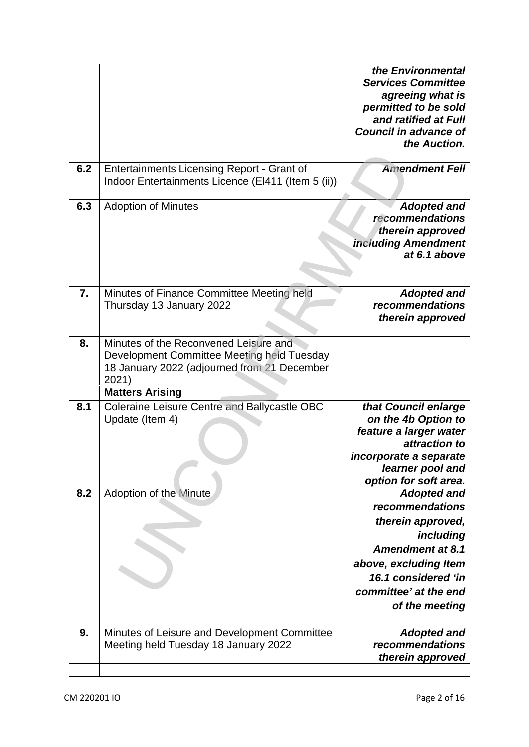|     |                                                                                                                                             | the Environmental<br><b>Services Committee</b><br>agreeing what is<br>permitted to be sold<br>and ratified at Full<br><b>Council in advance of</b><br>the Auction.                            |
|-----|---------------------------------------------------------------------------------------------------------------------------------------------|-----------------------------------------------------------------------------------------------------------------------------------------------------------------------------------------------|
| 6.2 | Entertainments Licensing Report - Grant of<br>Indoor Entertainments Licence (EI411 (Item 5 (ii))                                            | <b>Amendment Fell</b>                                                                                                                                                                         |
| 6.3 | <b>Adoption of Minutes</b>                                                                                                                  | <b>Adopted and</b><br>recommendations<br>therein approved<br><b>including Amendment</b><br>at 6.1 above                                                                                       |
| 7.  | Minutes of Finance Committee Meeting held<br>Thursday 13 January 2022                                                                       | <b>Adopted and</b><br>recommendations<br>therein approved                                                                                                                                     |
| 8.  | Minutes of the Reconvened Leisure and<br>Development Committee Meeting held Tuesday<br>18 January 2022 (adjourned from 21 December<br>2021) |                                                                                                                                                                                               |
|     | <b>Matters Arising</b>                                                                                                                      |                                                                                                                                                                                               |
| 8.1 | <b>Coleraine Leisure Centre and Ballycastle OBC</b><br>Update (Item 4)                                                                      | that Council enlarge<br>on the 4b Option to<br>feature a larger water<br>attraction to<br>incorporate a separate<br>learner pool and<br>option for soft area.                                 |
| 8.2 | <b>Adoption of the Minute</b>                                                                                                               | <b>Adopted and</b><br>recommendations<br>therein approved,<br>including<br><b>Amendment at 8.1</b><br>above, excluding Item<br>16.1 considered 'in<br>committee' at the end<br>of the meeting |
| 9.  | Minutes of Leisure and Development Committee<br>Meeting held Tuesday 18 January 2022                                                        | <b>Adopted and</b><br>recommendations<br>therein approved                                                                                                                                     |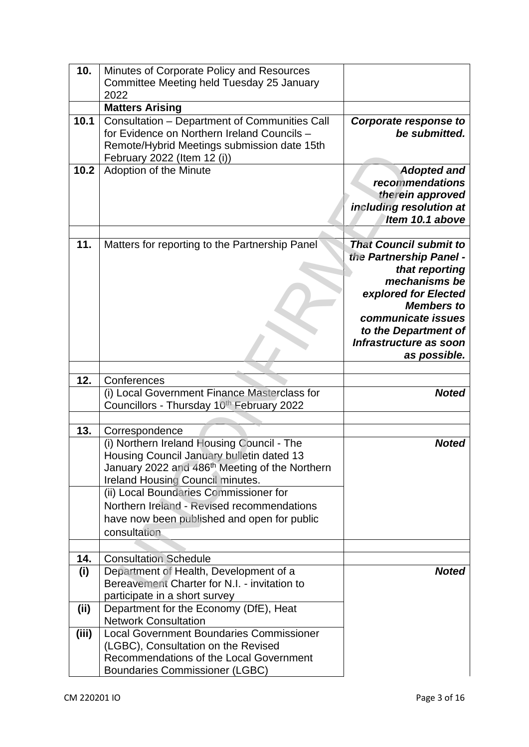| 10.   | Minutes of Corporate Policy and Resources                  |                                            |
|-------|------------------------------------------------------------|--------------------------------------------|
|       | Committee Meeting held Tuesday 25 January                  |                                            |
|       | 2022                                                       |                                            |
|       | <b>Matters Arising</b>                                     |                                            |
| 10.1  | <b>Consultation - Department of Communities Call</b>       | <b>Corporate response to</b>               |
|       | for Evidence on Northern Ireland Councils -                | be submitted.                              |
|       | Remote/Hybrid Meetings submission date 15th                |                                            |
|       | February 2022 (Item 12 (i))                                |                                            |
| 10.2  | Adoption of the Minute                                     | <b>Adopted and</b>                         |
|       |                                                            | recommendations                            |
|       |                                                            | therein approved                           |
|       |                                                            | including resolution at<br>Item 10.1 above |
|       |                                                            |                                            |
| 11.   | Matters for reporting to the Partnership Panel             | <b>That Council submit to</b>              |
|       |                                                            | the Partnership Panel -                    |
|       |                                                            | that reporting                             |
|       |                                                            | mechanisms be                              |
|       |                                                            | explored for Elected                       |
|       |                                                            | <b>Members to</b>                          |
|       |                                                            | communicate issues                         |
|       |                                                            | to the Department of                       |
|       |                                                            | Infrastructure as soon                     |
|       |                                                            | as possible.                               |
|       |                                                            |                                            |
| 12.   | Conferences                                                |                                            |
|       | (i) Local Government Finance Masterclass for               | <b>Noted</b>                               |
|       | Councillors - Thursday 10th February 2022                  |                                            |
|       |                                                            |                                            |
| 13.   | Correspondence                                             |                                            |
|       | (i) Northern Ireland Housing Council - The                 | <b>Noted</b>                               |
|       | Housing Council January bulletin dated 13                  |                                            |
|       | January 2022 and 486 <sup>th</sup> Meeting of the Northern |                                            |
|       | Ireland Housing Council minutes.                           |                                            |
|       | (ii) Local Boundaries Commissioner for                     |                                            |
|       | Northern Ireland - Revised recommendations                 |                                            |
|       | have now been published and open for public                |                                            |
|       | consultation                                               |                                            |
|       |                                                            |                                            |
| 14.   | <b>Consultation Schedule</b>                               |                                            |
| (i)   | Department of Health, Development of a                     | <b>Noted</b>                               |
|       | Bereavement Charter for N.I. - invitation to               |                                            |
|       | participate in a short survey                              |                                            |
| (i)   | Department for the Economy (DfE), Heat                     |                                            |
|       | <b>Network Consultation</b>                                |                                            |
| (iii) | <b>Local Government Boundaries Commissioner</b>            |                                            |
|       | (LGBC), Consultation on the Revised                        |                                            |
|       | Recommendations of the Local Government                    |                                            |
|       | <b>Boundaries Commissioner (LGBC)</b>                      |                                            |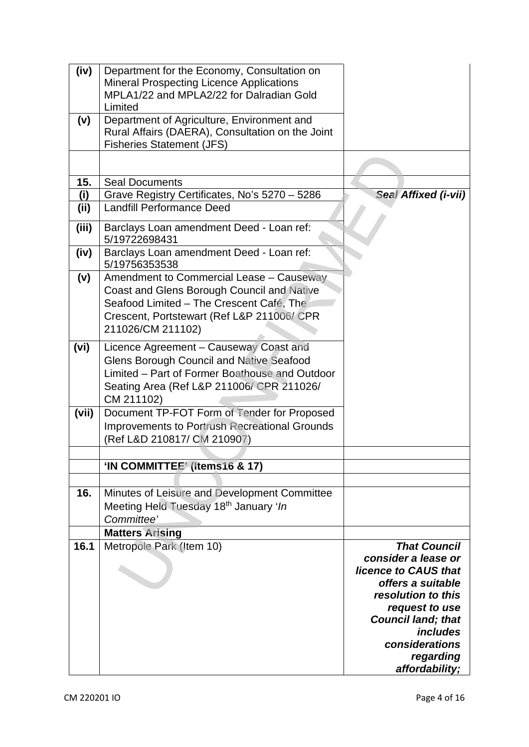| (iv)  | Department for the Economy, Consultation on<br><b>Mineral Prospecting Licence Applications</b><br>MPLA1/22 and MPLA2/22 for Dalradian Gold    |                             |
|-------|-----------------------------------------------------------------------------------------------------------------------------------------------|-----------------------------|
| (v)   | Limited<br>Department of Agriculture, Environment and<br>Rural Affairs (DAERA), Consultation on the Joint<br><b>Fisheries Statement (JFS)</b> |                             |
|       |                                                                                                                                               |                             |
| 15.   | <b>Seal Documents</b>                                                                                                                         |                             |
| (i)   | Grave Registry Certificates, No's 5270 - 5286                                                                                                 | <b>Seal Affixed (i-vii)</b> |
| (ii)  | <b>Landfill Performance Deed</b>                                                                                                              |                             |
| (iii) | Barclays Loan amendment Deed - Loan ref:<br>5/19722698431                                                                                     |                             |
| (iv)  | Barclays Loan amendment Deed - Loan ref:<br>5/19756353538                                                                                     |                             |
| (v)   | Amendment to Commercial Lease - Causeway                                                                                                      |                             |
|       | Coast and Glens Borough Council and Native                                                                                                    |                             |
|       | Seafood Limited - The Crescent Café, The                                                                                                      |                             |
|       | Crescent, Portstewart (Ref L&P 211006/CPR                                                                                                     |                             |
|       | 211026/CM 211102)                                                                                                                             |                             |
| (vi)  | Licence Agreement - Causeway Coast and                                                                                                        |                             |
|       | <b>Glens Borough Council and Native Seafood</b>                                                                                               |                             |
|       | Limited - Part of Former Boathouse and Outdoor                                                                                                |                             |
|       | Seating Area (Ref L&P 211006/ CPR 211026/<br>CM 211102)                                                                                       |                             |
| (vii) | Document TP-FOT Form of Tender for Proposed                                                                                                   |                             |
|       | Improvements to Portrush Recreational Grounds                                                                                                 |                             |
|       | (Ref L&D 210817/ CM 210907)                                                                                                                   |                             |
|       |                                                                                                                                               |                             |
|       | 'IN COMMITTEE' (Items16 & 17)                                                                                                                 |                             |
|       |                                                                                                                                               |                             |
| 16.   | Minutes of Leisure and Development Committee                                                                                                  |                             |
|       | Meeting Held Tuesday 18th January 'In                                                                                                         |                             |
|       | Committee'                                                                                                                                    |                             |
|       | <b>Matters Arising</b>                                                                                                                        | <b>That Council</b>         |
| 16.1  | Metropole Park (Item 10)                                                                                                                      | consider a lease or         |
|       |                                                                                                                                               | licence to CAUS that        |
|       |                                                                                                                                               | offers a suitable           |
|       |                                                                                                                                               | resolution to this          |
|       |                                                                                                                                               | request to use              |
|       |                                                                                                                                               | <b>Council land; that</b>   |
|       |                                                                                                                                               | includes<br>considerations  |
|       |                                                                                                                                               | regarding                   |
|       |                                                                                                                                               | affordability;              |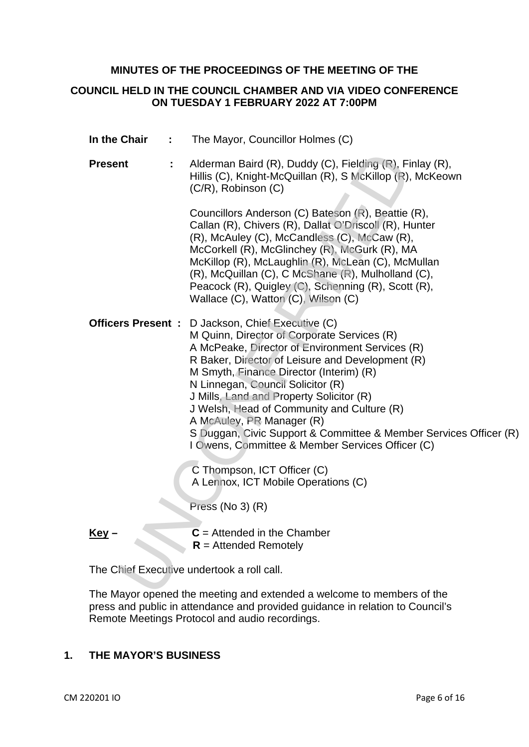### **MINUTES OF THE PROCEEDINGS OF THE MEETING OF THE**

### **COUNCIL HELD IN THE COUNCIL CHAMBER AND VIA VIDEO CONFERENCE ON TUESDAY 1 FEBRUARY 2022 AT 7:00PM**

**In the Chair :** The Mayor, Councillor Holmes (C) **Present :** Alderman Baird (R), Duddy (C), Fielding (R), Finlay (R), Hillis (C), Knight-McQuillan (R), S McKillop (R), McKeown (C/R), Robinson (C) Councillors Anderson (C) Bateson (R), Beattie (R), Callan (R), Chivers (R), Dallat O'Driscoll (R), Hunter (R), McAuley (C), McCandless (C), McCaw (R), McCorkell (R), McGlinchey (R), McGurk (R), MA McKillop (R), McLaughlin (R), McLean (C), McMullan (R), McQuillan (C), C McShane (R), Mulholland (C), Peacock (R), Quigley (C), Schenning (R), Scott (R), Wallace (C), Watton (C), Wilson (C) **Officers Present :** D Jackson, Chief Executive (C) M Quinn, Director of Corporate Services (R) A McPeake, Director of Environment Services (R) R Baker, Director of Leisure and Development (R) M Smyth, Finance Director (Interim) (R) N Linnegan, Council Solicitor (R) J Mills, Land and Property Solicitor (R) J Welsh, Head of Community and Culture (R) A McAuley, PR Manager (R) S Duggan, Civic Support & Committee & Member Services Officer (R) I Owens, Committee & Member Services Officer (C) C Thompson, ICT Officer (C) A Lennox, ICT Mobile Operations (C) Press (No 3) (R)  $Key C =$  Attended in the Chamber  **R** = Attended Remotely 11 Alderman Baird (R), Duddy (C), Fielding (R), Fielding (R), Fielding (R), C/R), Robinson (C)<br>
Councilisms (R), Solonisms (C) Bateson (R), Beattie<br>
Caulan (R), Chives (R), Dallar O'Driscoll (R), H<br>
Callan (R), Ochives (R)

The Chief Executive undertook a roll call.

The Mayor opened the meeting and extended a welcome to members of the press and public in attendance and provided guidance in relation to Council's Remote Meetings Protocol and audio recordings.

# **1. THE MAYOR'S BUSINESS**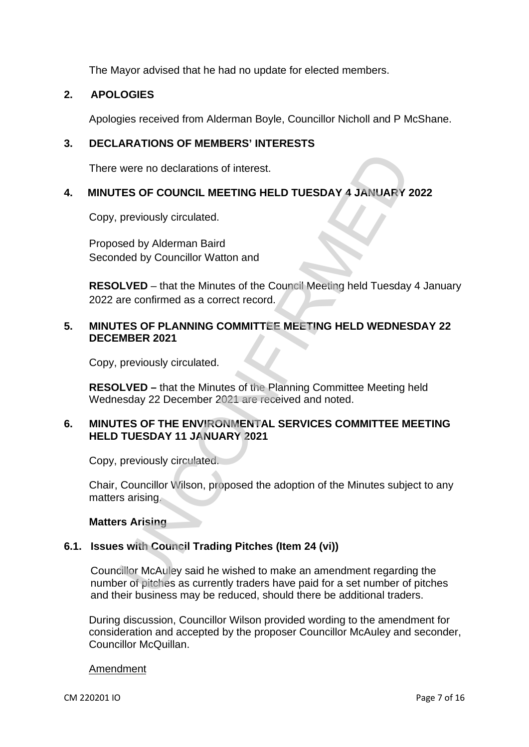The Mayor advised that he had no update for elected members.

# **2. APOLOGIES**

Apologies received from Alderman Boyle, Councillor Nicholl and P McShane.

# **3. DECLARATIONS OF MEMBERS' INTERESTS**

There were no declarations of interest.

# **4. MINUTES OF COUNCIL MEETING HELD TUESDAY 4 JANUARY 2022**

Copy, previously circulated.

Proposed by Alderman Baird Seconded by Councillor Watton and

**RESOLVED** – that the Minutes of the Council Meeting held Tuesday 4 January 2022 are confirmed as a correct record.

# **5. MINUTES OF PLANNING COMMITTEE MEETING HELD WEDNESDAY 22 DECEMBER 2021**

Copy, previously circulated.

**RESOLVED –** that the Minutes of the Planning Committee Meeting held Wednesday 22 December 2021 are received and noted.

# **6. MINUTES OF THE ENVIRONMENTAL SERVICES COMMITTEE MEETING HELD TUESDAY 11 JANUARY 2021**

Copy, previously circulated.

Chair, Councillor Wilson, proposed the adoption of the Minutes subject to any matters arising.

**Matters Arising** 

# **6.1. Issues with Council Trading Pitches (Item 24 (vi))**

Councillor McAuley said he wished to make an amendment regarding the number of pitches as currently traders have paid for a set number of pitches and their business may be reduced, should there be additional traders. were no declarations of interest.<br>
TES OF COUNCIL MEETING HELD TUESDAY 4 JANUARY<br>
previously circulated.<br>
sed by Alderman Baird<br>
ded by Councillor Watton and<br>
LVED – that the Minutes of the Council Meeting held Tuesday<br>
ar

During discussion, Councillor Wilson provided wording to the amendment for consideration and accepted by the proposer Councillor McAuley and seconder, Councillor McQuillan.

#### Amendment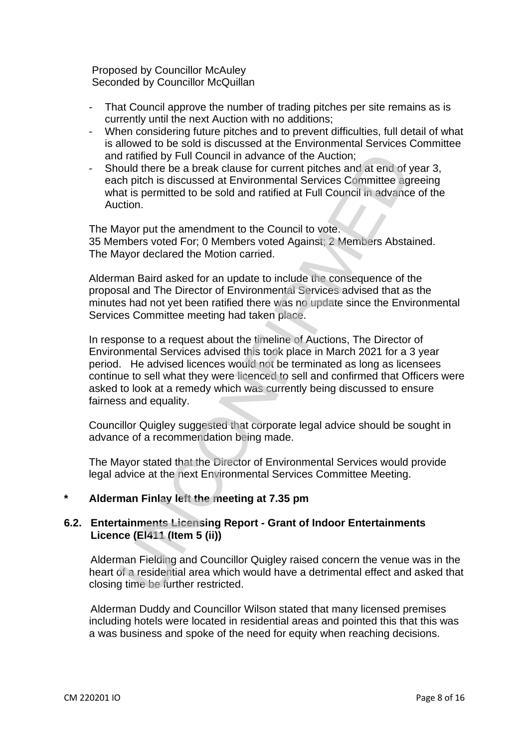Proposed by Councillor McAuley Seconded by Councillor McQuillan

- That Council approve the number of trading pitches per site remains as is currently until the next Auction with no additions;
- When considering future pitches and to prevent difficulties, full detail of what is allowed to be sold is discussed at the Environmental Services Committee and ratified by Full Council in advance of the Auction;
- Should there be a break clause for current pitches and at end of year 3, each pitch is discussed at Environmental Services Committee agreeing what is permitted to be sold and ratified at Full Council in advance of the Auction.

The Mayor put the amendment to the Council to vote. 35 Members voted For; 0 Members voted Against; 2 Members Abstained. The Mayor declared the Motion carried.

Alderman Baird asked for an update to include the consequence of the proposal and The Director of Environmental Services advised that as the minutes had not yet been ratified there was no update since the Environmental Services Committee meeting had taken place.

In response to a request about the timeline of Auctions, The Director of Environmental Services advised this took place in March 2021 for a 3 year period. He advised licences would not be terminated as long as licensees continue to sell what they were licenced to sell and confirmed that Officers were asked to look at a remedy which was currently being discussed to ensure fairness and equality. d ratified by Full Council in advance of the Auction;<br>
could there be a break clause for current piches and at end of<br>
cold there be a break clause for current piches and at end of<br>
ch pitch is discussed at Environmental S

Councillor Quigley suggested that corporate legal advice should be sought in advance of a recommendation being made.

The Mayor stated that the Director of Environmental Services would provide legal advice at the next Environmental Services Committee Meeting.

# **\* Alderman Finlay left the meeting at 7.35 pm**

# **6.2. Entertainments Licensing Report - Grant of Indoor Entertainments Licence (El411 (Item 5 (ii))**

Alderman Fielding and Councillor Quigley raised concern the venue was in the heart of a residential area which would have a detrimental effect and asked that closing time be further restricted.

Alderman Duddy and Councillor Wilson stated that many licensed premises including hotels were located in residential areas and pointed this that this was a was business and spoke of the need for equity when reaching decisions.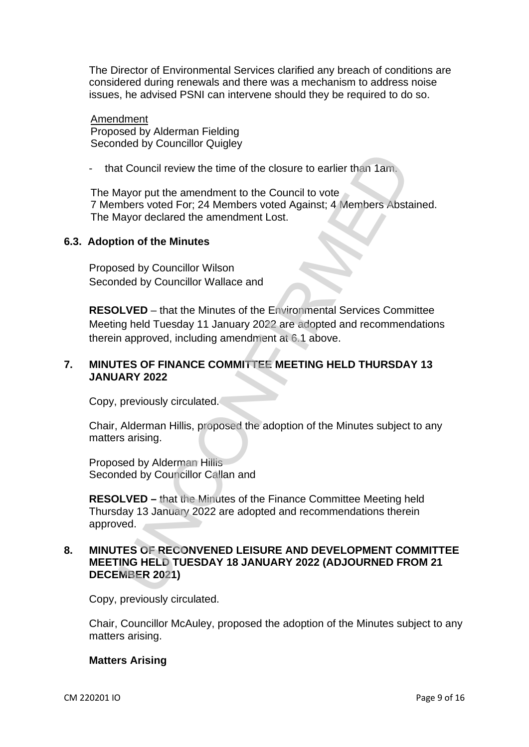The Director of Environmental Services clarified any breach of conditions are considered during renewals and there was a mechanism to address noise issues, he advised PSNI can intervene should they be required to do so.

Amendment Proposed by Alderman Fielding Seconded by Councillor Quigley

that Council review the time of the closure to earlier than 1am.

The Mayor put the amendment to the Council to vote 7 Members voted For; 24 Members voted Against; 4 Members Abstained. The Mayor declared the amendment Lost.

#### **6.3. Adoption of the Minutes**

Proposed by Councillor Wilson Seconded by Councillor Wallace and

**RESOLVED** – that the Minutes of the Environmental Services Committee Meeting held Tuesday 11 January 2022 are adopted and recommendations therein approved, including amendment at 6.1 above. the Council review the time of the closure to earlier than 1 am-<br>Mayor put the amendment to the Council to vote<br>Mayor declared For: 24 Members voted Against; 4 Members Abstrances<br>Mayor declared the amendment Lost.<br>Sion of

### **7. MINUTES OF FINANCE COMMITTEE MEETING HELD THURSDAY 13 JANUARY 2022**

Copy, previously circulated.

Chair, Alderman Hillis, proposed the adoption of the Minutes subject to any matters arising.

Proposed by Alderman Hillis Seconded by Councillor Callan and

**RESOLVED –** that the Minutes of the Finance Committee Meeting held Thursday 13 January 2022 are adopted and recommendations therein approved.

### **8. MINUTES OF RECONVENED LEISURE AND DEVELOPMENT COMMITTEE MEETING HELD TUESDAY 18 JANUARY 2022 (ADJOURNED FROM 21 DECEMBER 2021)**

Copy, previously circulated.

Chair, Councillor McAuley, proposed the adoption of the Minutes subject to any matters arising.

#### **Matters Arising**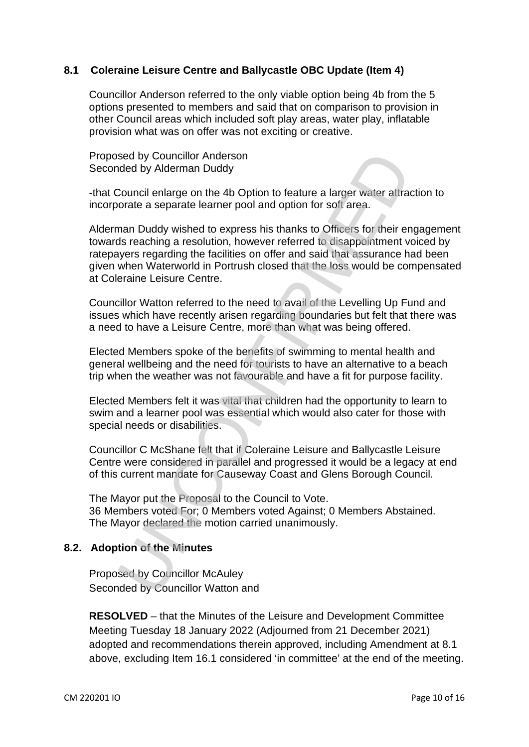# **8.1 Coleraine Leisure Centre and Ballycastle OBC Update (Item 4)**

Councillor Anderson referred to the only viable option being 4b from the 5 options presented to members and said that on comparison to provision in other Council areas which included soft play areas, water play, inflatable provision what was on offer was not exciting or creative.

Proposed by Councillor Anderson Seconded by Alderman Duddy

-that Council enlarge on the 4b Option to feature a larger water attraction to incorporate a separate learner pool and option for soft area.

Alderman Duddy wished to express his thanks to Officers for their engagement towards reaching a resolution, however referred to disappointment voiced by ratepayers regarding the facilities on offer and said that assurance had been given when Waterworld in Portrush closed that the loss would be compensated at Coleraine Leisure Centre. sed by Councillor Anderson<br>
Sed by Alderman Duddy<br>
Council enlarge on the 40 Option to feature a larger water attracted<br>
orate a separate learner pool and option for soft area.<br>
In small cody wished to express his thanks t

Councillor Watton referred to the need to avail of the Levelling Up Fund and issues which have recently arisen regarding boundaries but felt that there was a need to have a Leisure Centre, more than what was being offered.

Elected Members spoke of the benefits of swimming to mental health and general wellbeing and the need for tourists to have an alternative to a beach trip when the weather was not favourable and have a fit for purpose facility.

Elected Members felt it was vital that children had the opportunity to learn to swim and a learner pool was essential which would also cater for those with special needs or disabilities.

Councillor C McShane felt that if Coleraine Leisure and Ballycastle Leisure Centre were considered in parallel and progressed it would be a legacy at end of this current mandate for Causeway Coast and Glens Borough Council.

The Mayor put the Proposal to the Council to Vote. 36 Members voted For; 0 Members voted Against; 0 Members Abstained. The Mayor declared the motion carried unanimously.

# **8.2. Adoption of the Minutes**

Proposed by Councillor McAuley Seconded by Councillor Watton and

**RESOLVED** – that the Minutes of the Leisure and Development Committee Meeting Tuesday 18 January 2022 (Adjourned from 21 December 2021) adopted and recommendations therein approved, including Amendment at 8.1 above, excluding Item 16.1 considered 'in committee' at the end of the meeting.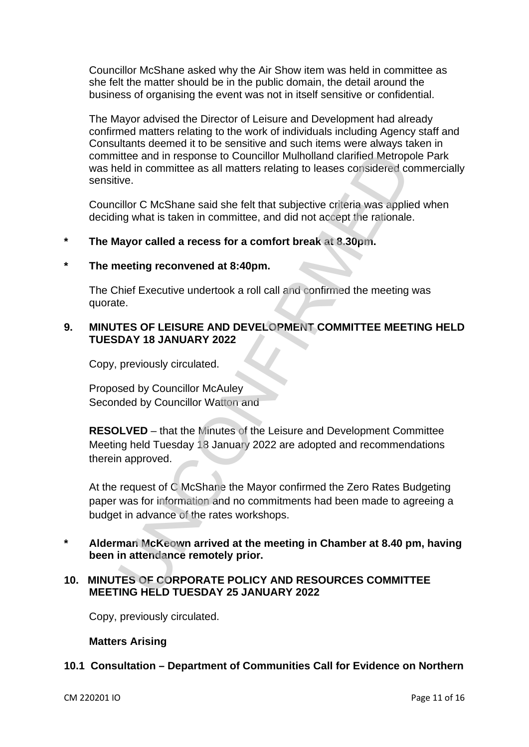Councillor McShane asked why the Air Show item was held in committee as she felt the matter should be in the public domain, the detail around the business of organising the event was not in itself sensitive or confidential.

The Mayor advised the Director of Leisure and Development had already confirmed matters relating to the work of individuals including Agency staff and Consultants deemed it to be sensitive and such items were always taken in committee and in response to Councillor Mulholland clarified Metropole Park was held in committee as all matters relating to leases considered commercially sensitive.

Councillor C McShane said she felt that subjective criteria was applied when deciding what is taken in committee, and did not accept the rationale.

### **\* The Mayor called a recess for a comfort break at 8.30pm.**

#### **\* The meeting reconvened at 8:40pm.**

The Chief Executive undertook a roll call and confirmed the meeting was quorate.

## **9. MINUTES OF LEISURE AND DEVELOPMENT COMMITTEE MEETING HELD TUESDAY 18 JANUARY 2022**

Copy, previously circulated.

Proposed by Councillor McAuley Seconded by Councillor Watton and

**RESOLVED** – that the Minutes of the Leisure and Development Committee Meeting held Tuesday 18 January 2022 are adopted and recommendations therein approved.

At the request of C McShane the Mayor confirmed the Zero Rates Budgeting paper was for information and no commitments had been made to agreeing a budget in advance of the rates workshops. ittee and in response to Councillor Mulholland clarified Metrop<br>eld in committee as all matters relating to leases considered correlation<br>control in committee as all matters relating to leases considered correlation<br>contro

**\* Alderman McKeown arrived at the meeting in Chamber at 8.40 pm, having been in attendance remotely prior.** 

### **10. MINUTES OF CORPORATE POLICY AND RESOURCES COMMITTEE MEETING HELD TUESDAY 25 JANUARY 2022**

Copy, previously circulated.

#### **Matters Arising**

#### **10.1 Consultation – Department of Communities Call for Evidence on Northern**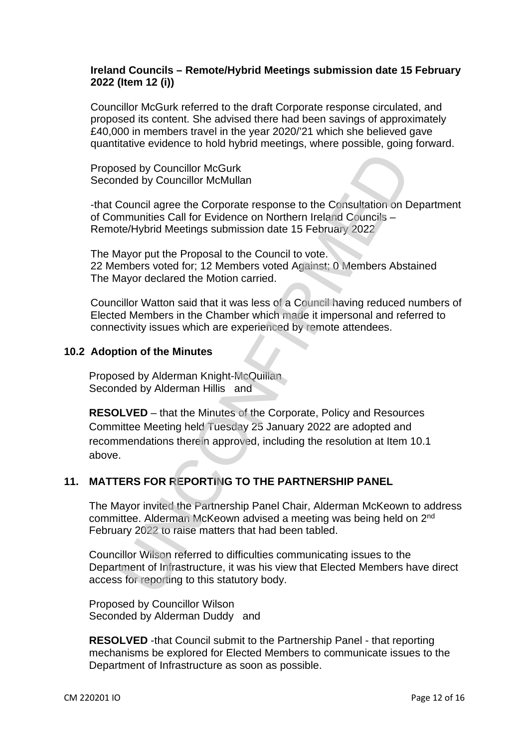# **Ireland Councils – Remote/Hybrid Meetings submission date 15 February 2022 (Item 12 (i))**

Councillor McGurk referred to the draft Corporate response circulated, and proposed its content. She advised there had been savings of approximately £40,000 in members travel in the year 2020/'21 which she believed gave quantitative evidence to hold hybrid meetings, where possible, going forward.

Proposed by Councillor McGurk Seconded by Councillor McMullan

-that Council agree the Corporate response to the Consultation on Department of Communities Call for Evidence on Northern Ireland Councils – Remote/Hybrid Meetings submission date 15 February 2022

The Mayor put the Proposal to the Council to vote. 22 Members voted for; 12 Members voted Against; 0 Members Abstained The Mayor declared the Motion carried.

Councillor Watton said that it was less of a Council having reduced numbers of Elected Members in the Chamber which made it impersonal and referred to connectivity issues which are experienced by remote attendees.

### **10.2 Adoption of the Minutes**

Proposed by Alderman Knight-McQuillan Seconded by Alderman Hillis and

**RESOLVED** – that the Minutes of the Corporate, Policy and Resources Committee Meeting held Tuesday 25 January 2022 are adopted and recommendations therein approved, including the resolution at Item 10.1 above. sed by Councillor McGurk<br>
nded by Councillor McMullan<br>
Council agree the Corporate response to the Consultation on D<br>
mmunities Call for Evidence on Northern Ireland Councils –<br>
tele/Hybrid Meetings submission date 15 Febr

# **11. MATTERS FOR REPORTING TO THE PARTNERSHIP PANEL**

The Mayor invited the Partnership Panel Chair, Alderman McKeown to address committee. Alderman McKeown advised a meeting was being held on 2nd February 2022 to raise matters that had been tabled.

Councillor Wilson referred to difficulties communicating issues to the Department of Infrastructure, it was his view that Elected Members have direct access for reporting to this statutory body.

Proposed by Councillor Wilson Seconded by Alderman Duddy and

**RESOLVED** -that Council submit to the Partnership Panel - that reporting mechanisms be explored for Elected Members to communicate issues to the Department of Infrastructure as soon as possible.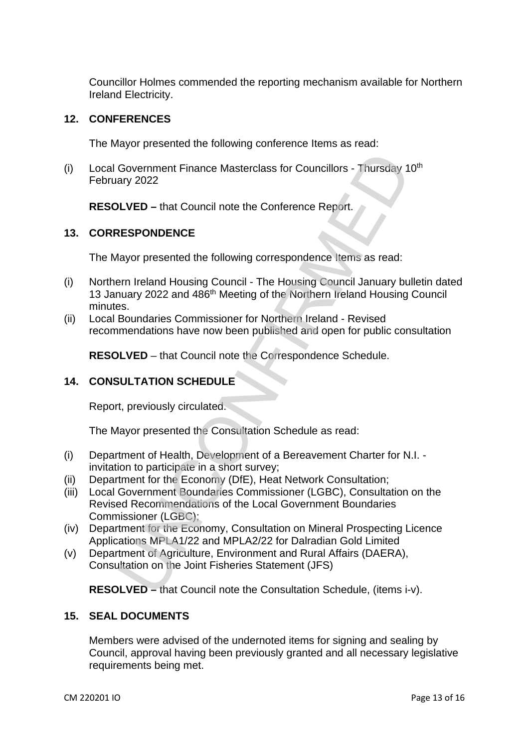Councillor Holmes commended the reporting mechanism available for Northern Ireland Electricity.

### **12. CONFERENCES**

The Mayor presented the following conference Items as read:

(i) Local Government Finance Masterclass for Councillors - Thursday 10<sup>th</sup> February 2022

**RESOLVED –** that Council note the Conference Report.

### **13. CORRESPONDENCE**

The Mayor presented the following correspondence Items as read:

- (i) Northern Ireland Housing Council The Housing Council January bulletin dated 13 January 2022 and 486<sup>th</sup> Meeting of the Northern Ireland Housing Council minutes. Government Finance Masterclass for Councillors - Thursday 1<br>ary 2022<br>NVED – that Council note the Conference Report.<br>ESPONDENCE<br>Nayor presented the following correspondence Items as read:<br>Finance Irland Housing Council - T
- (ii) Local Boundaries Commissioner for Northern Ireland Revised recommendations have now been published and open for public consultation

**RESOLVED** – that Council note the Correspondence Schedule.

# **14. CONSULTATION SCHEDULE**

Report, previously circulated.

The Mayor presented the Consultation Schedule as read:

- (i) Department of Health, Development of a Bereavement Charter for N.I. invitation to participate in a short survey;
- (ii) Department for the Economy (DfE), Heat Network Consultation;
- (iii) Local Government Boundaries Commissioner (LGBC), Consultation on the Revised Recommendations of the Local Government Boundaries Commissioner (LGBC);
- (iv) Department for the Economy, Consultation on Mineral Prospecting Licence Applications MPLA1/22 and MPLA2/22 for Dalradian Gold Limited
- (v) Department of Agriculture, Environment and Rural Affairs (DAERA), Consultation on the Joint Fisheries Statement (JFS)

**RESOLVED –** that Council note the Consultation Schedule, (items i-v).

### **15. SEAL DOCUMENTS**

Members were advised of the undernoted items for signing and sealing by Council, approval having been previously granted and all necessary legislative requirements being met.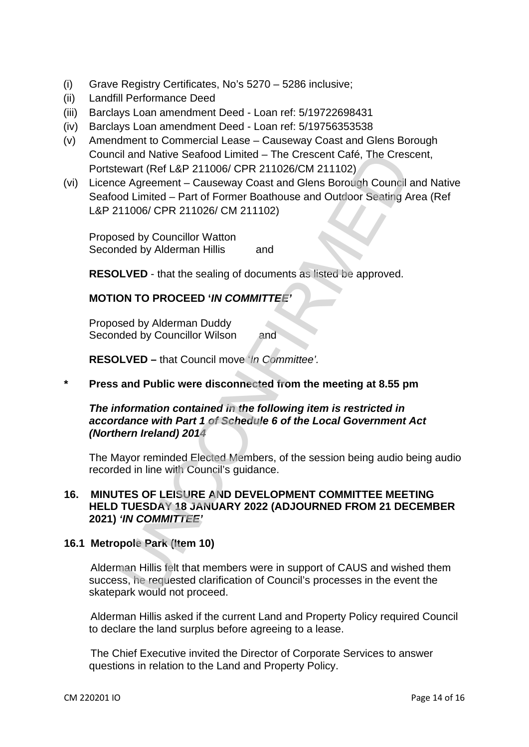- (i) Grave Registry Certificates, No's 5270 5286 inclusive;
- (ii) Landfill Performance Deed
- (iii) Barclays Loan amendment Deed Loan ref: 5/19722698431
- (iv) Barclays Loan amendment Deed Loan ref: 5/19756353538
- (v) Amendment to Commercial Lease Causeway Coast and Glens Borough Council and Native Seafood Limited – The Crescent Café, The Crescent, Portstewart (Ref L&P 211006/ CPR 211026/CM 211102)
- (vi) Licence Agreement Causeway Coast and Glens Borough Council and Native Seafood Limited – Part of Former Boathouse and Outdoor Seating Area (Ref L&P 211006/ CPR 211026/ CM 211102) il and Native Seafood Limited – The Crescent Café, The Crescent<br>
exert (Ref L&P 211006/CPR 211026/CM 211102)<br>
exert (Ref L&P 211026/CPR 211026/CM 211102)<br>
of Limited – Part of Former Boathouse and Outdoor Seating A<br>
11006/

Proposed by Councillor Watton Seconded by Alderman Hillis and

**RESOLVED** - that the sealing of documents as listed be approved.

# **MOTION TO PROCEED '***IN COMMITTEE'*

Proposed by Alderman Duddy Seconded by Councillor Wilson and

**RESOLVED –** that Council move '*In Committee'.*

**\* Press and Public were disconnected from the meeting at 8.55 pm** 

# *The information contained in the following item is restricted in accordance with Part 1 of Schedule 6 of the Local Government Act (Northern Ireland) 2014*

The Mayor reminded Elected Members, of the session being audio being audio recorded in line with Council's guidance.

### **16. MINUTES OF LEISURE AND DEVELOPMENT COMMITTEE MEETING HELD TUESDAY 18 JANUARY 2022 (ADJOURNED FROM 21 DECEMBER 2021)** *'IN COMMITTEE'*

# **16.1 Metropole Park (Item 10)**

Alderman Hillis felt that members were in support of CAUS and wished them success, he requested clarification of Council's processes in the event the skatepark would not proceed.

Alderman Hillis asked if the current Land and Property Policy required Council to declare the land surplus before agreeing to a lease.

The Chief Executive invited the Director of Corporate Services to answer questions in relation to the Land and Property Policy.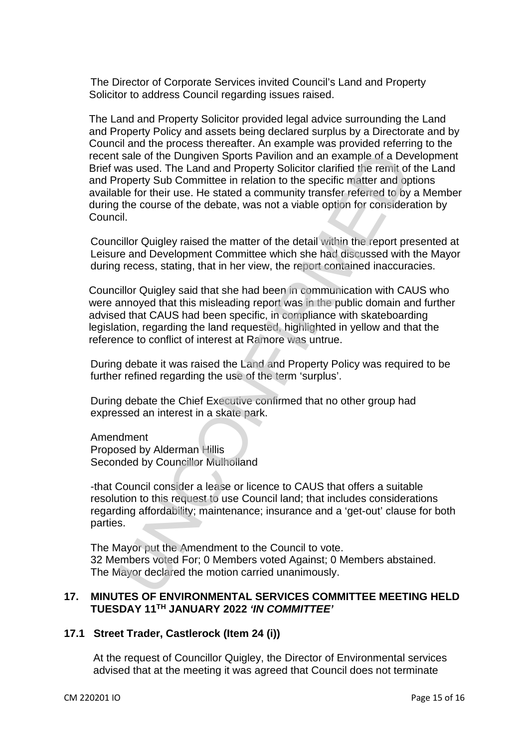The Director of Corporate Services invited Council's Land and Property Solicitor to address Council regarding issues raised.

The Land and Property Solicitor provided legal advice surrounding the Land and Property Policy and assets being declared surplus by a Directorate and by Council and the process thereafter. An example was provided referring to the recent sale of the Dungiven Sports Pavilion and an example of a Development Brief was used. The Land and Property Solicitor clarified the remit of the Land and Property Sub Committee in relation to the specific matter and options available for their use. He stated a community transfer referred to by a Member during the course of the debate, was not a viable option for consideration by Council. is sale of the Dungiven Sports Pavilion and an example of a Devas used. The Land and Property Sub Committee in relation to the specific matter and op<br>roperty Sub Committee in relation to the specific matter and op<br>ble for

Councillor Quigley raised the matter of the detail within the report presented at Leisure and Development Committee which she had discussed with the Mayor during recess, stating, that in her view, the report contained inaccuracies.

Councillor Quigley said that she had been in communication with CAUS who were annoyed that this misleading report was in the public domain and further advised that CAUS had been specific, in compliance with skateboarding legislation, regarding the land requested, highlighted in yellow and that the reference to conflict of interest at Ramore was untrue.

During debate it was raised the Land and Property Policy was required to be further refined regarding the use of the term 'surplus'.

During debate the Chief Executive confirmed that no other group had expressed an interest in a skate park.

Amendment Proposed by Alderman Hillis Seconded by Councillor Mulholland

-that Council consider a lease or licence to CAUS that offers a suitable resolution to this request to use Council land; that includes considerations regarding affordability; maintenance; insurance and a 'get-out' clause for both parties.

The Mayor put the Amendment to the Council to vote. 32 Members voted For; 0 Members voted Against; 0 Members abstained. The Mayor declared the motion carried unanimously.

### **17. MINUTES OF ENVIRONMENTAL SERVICES COMMITTEE MEETING HELD TUESDAY 11TH JANUARY 2022** *'IN COMMITTEE'*

#### **17.1 Street Trader, Castlerock (Item 24 (i))**

At the request of Councillor Quigley, the Director of Environmental services advised that at the meeting it was agreed that Council does not terminate